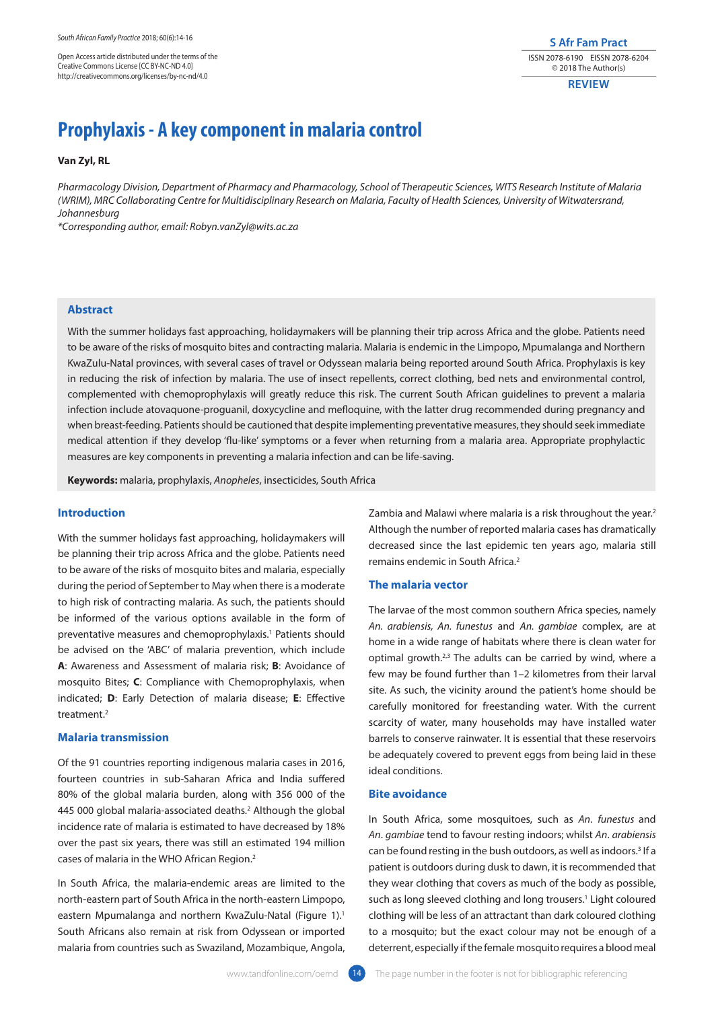Open Access article distributed under the terms of the Creative Commons License [CC BY-NC-ND 4.0] http://creativecommons.org/licenses/by-nc-nd/4.0

**S Afr Fam Pract** ISSN 2078-6190 EISSN 2078-6204 © 2018 The Author(s)

**REVIEW**

# **Prophylaxis - A key component in malaria control**

**Van Zyl, RL**

*Pharmacology Division, Department of Pharmacy and Pharmacology, School of Therapeutic Sciences, WITS Research Institute of Malaria (WRIM), MRC Collaborating Centre for Multidisciplinary Research on Malaria, Faculty of Health Sciences, University of Witwatersrand, Johannesburg*

*\*Corresponding author, email: Robyn.vanZyl@wits.ac.za*

# **Abstract**

With the summer holidays fast approaching, holidaymakers will be planning their trip across Africa and the globe. Patients need to be aware of the risks of mosquito bites and contracting malaria. Malaria is endemic in the Limpopo, Mpumalanga and Northern KwaZulu-Natal provinces, with several cases of travel or Odyssean malaria being reported around South Africa. Prophylaxis is key in reducing the risk of infection by malaria. The use of insect repellents, correct clothing, bed nets and environmental control, complemented with chemoprophylaxis will greatly reduce this risk. The current South African guidelines to prevent a malaria infection include atovaquone-proguanil, doxycycline and mefloquine, with the latter drug recommended during pregnancy and when breast-feeding. Patients should be cautioned that despite implementing preventative measures, they should seek immediate medical attention if they develop 'flu-like' symptoms or a fever when returning from a malaria area. Appropriate prophylactic measures are key components in preventing a malaria infection and can be life-saving.

**Keywords:** malaria, prophylaxis, *Anopheles*, insecticides, South Africa

# **Introduction**

With the summer holidays fast approaching, holidaymakers will be planning their trip across Africa and the globe. Patients need to be aware of the risks of mosquito bites and malaria, especially during the period of September to May when there is a moderate to high risk of contracting malaria. As such, the patients should be informed of the various options available in the form of preventative measures and chemoprophylaxis.<sup>1</sup> Patients should be advised on the 'ABC' of malaria prevention, which include **A**: Awareness and Assessment of malaria risk; **B**: Avoidance of mosquito Bites; **C**: Compliance with Chemoprophylaxis, when indicated; **D**: Early Detection of malaria disease; **E**: Effective treatment.2

# **Malaria transmission**

Of the 91 countries reporting indigenous malaria cases in 2016, fourteen countries in sub-Saharan Africa and India suffered 80% of the global malaria burden, along with 356 000 of the 445 000 global malaria-associated deaths.2 Although the global incidence rate of malaria is estimated to have decreased by 18% over the past six years, there was still an estimated 194 million cases of malaria in the WHO African Region.2

In South Africa, the malaria-endemic areas are limited to the north-eastern part of South Africa in the north-eastern Limpopo, eastern Mpumalanga and northern KwaZulu-Natal (Figure 1).<sup>1</sup> South Africans also remain at risk from Odyssean or imported malaria from countries such as Swaziland, Mozambique, Angola,

Zambia and Malawi where malaria is a risk throughout the year.<sup>2</sup> Although the number of reported malaria cases has dramatically decreased since the last epidemic ten years ago, malaria still remains endemic in South Africa.2

# **The malaria vector**

The larvae of the most common southern Africa species, namely *An. arabiensis, An. funestus* and *An. gambiae* complex, are at home in a wide range of habitats where there is clean water for optimal growth.<sup>2,3</sup> The adults can be carried by wind, where a few may be found further than 1–2 kilometres from their larval site. As such, the vicinity around the patient's home should be carefully monitored for freestanding water. With the current scarcity of water, many households may have installed water barrels to conserve rainwater. It is essential that these reservoirs be adequately covered to prevent eggs from being laid in these ideal conditions.

### **Bite avoidance**

In South Africa, some mosquitoes, such as *An*. *funestus* and *An*. *gambiae* tend to favour resting indoors; whilst *An*. *arabiensis*  can be found resting in the bush outdoors, as well as indoors.3 If a patient is outdoors during dusk to dawn, it is recommended that they wear clothing that covers as much of the body as possible, such as long sleeved clothing and long trousers.<sup>1</sup> Light coloured clothing will be less of an attractant than dark coloured clothing to a mosquito; but the exact colour may not be enough of a deterrent, especially if the female mosquito requires a blood meal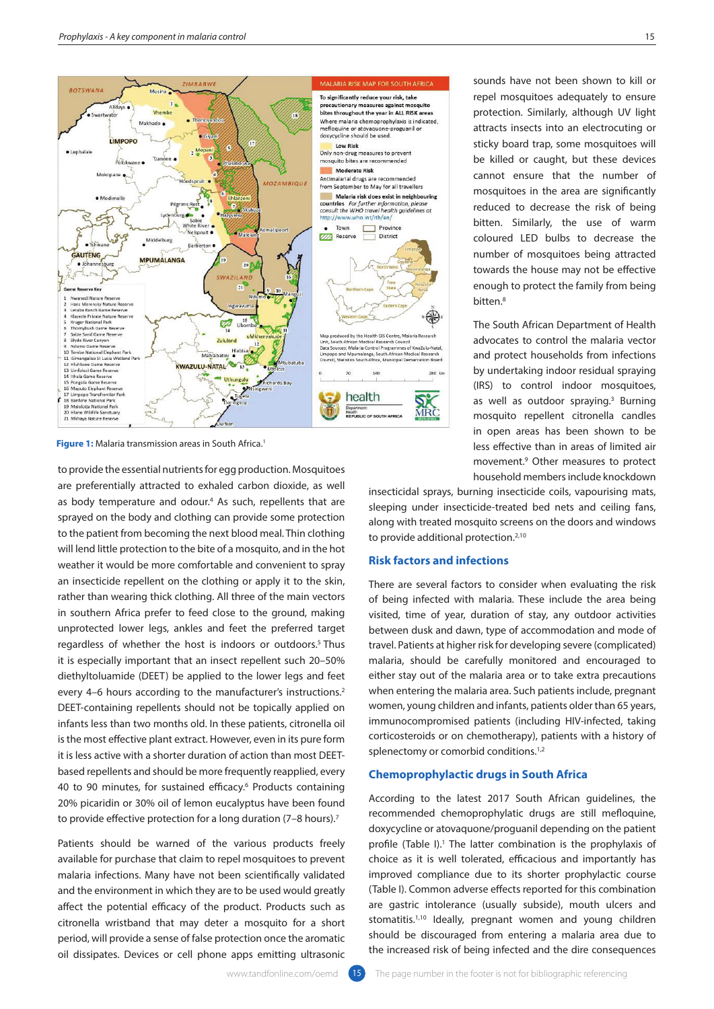

**Figure 1:** Malaria transmission areas in South Africa.<sup>1</sup>

to provide the essential nutrients for egg production. Mosquitoes are preferentially attracted to exhaled carbon dioxide, as well as body temperature and odour.<sup>4</sup> As such, repellents that are sprayed on the body and clothing can provide some protection to the patient from becoming the next blood meal. Thin clothing will lend little protection to the bite of a mosquito, and in the hot weather it would be more comfortable and convenient to spray an insecticide repellent on the clothing or apply it to the skin, rather than wearing thick clothing. All three of the main vectors in southern Africa prefer to feed close to the ground, making unprotected lower legs, ankles and feet the preferred target regardless of whether the host is indoors or outdoors.<sup>5</sup> Thus it is especially important that an insect repellent such 20–50% diethyltoluamide (DEET) be applied to the lower legs and feet every 4–6 hours according to the manufacturer's instructions.<sup>2</sup> DEET-containing repellents should not be topically applied on infants less than two months old. In these patients, citronella oil is the most effective plant extract. However, even in its pure form it is less active with a shorter duration of action than most DEETbased repellents and should be more frequently reapplied, every 40 to 90 minutes, for sustained efficacy.6 Products containing 20% picaridin or 30% oil of lemon eucalyptus have been found to provide effective protection for a long duration (7-8 hours).<sup>7</sup>

Patients should be warned of the various products freely available for purchase that claim to repel mosquitoes to prevent malaria infections. Many have not been scientifically validated and the environment in which they are to be used would greatly affect the potential efficacy of the product. Products such as citronella wristband that may deter a mosquito for a short period, will provide a sense of false protection once the aromatic oil dissipates. Devices or cell phone apps emitting ultrasonic

sounds have not been shown to kill or repel mosquitoes adequately to ensure protection. Similarly, although UV light attracts insects into an electrocuting or sticky board trap, some mosquitoes will be killed or caught, but these devices cannot ensure that the number of mosquitoes in the area are significantly reduced to decrease the risk of being bitten. Similarly, the use of warm coloured LED bulbs to decrease the number of mosquitoes being attracted towards the house may not be effective enough to protect the family from being bitten.<sup>8</sup>

The South African Department of Health advocates to control the malaria vector and protect households from infections by undertaking indoor residual spraying (IRS) to control indoor mosquitoes, as well as outdoor spraying. $3$  Burning mosquito repellent citronella candles in open areas has been shown to be less effective than in areas of limited air movement.9 Other measures to protect household members include knockdown

insecticidal sprays, burning insecticide coils, vapourising mats, sleeping under insecticide-treated bed nets and ceiling fans, along with treated mosquito screens on the doors and windows to provide additional protection.<sup>2,10</sup>

#### **Risk factors and infections**

There are several factors to consider when evaluating the risk of being infected with malaria. These include the area being visited, time of year, duration of stay, any outdoor activities between dusk and dawn, type of accommodation and mode of travel. Patients at higher risk for developing severe (complicated) malaria, should be carefully monitored and encouraged to either stay out of the malaria area or to take extra precautions when entering the malaria area. Such patients include, pregnant women, young children and infants, patients older than 65 years, immunocompromised patients (including HIV-infected, taking corticosteroids or on chemotherapy), patients with a history of splenectomy or comorbid conditions.<sup>1,2</sup>

#### **Chemoprophylactic drugs in South Africa**

According to the latest 2017 South African guidelines, the recommended chemoprophylatic drugs are still mefloquine, doxycycline or atovaquone/proguanil depending on the patient profile (Table I).<sup>1</sup> The latter combination is the prophylaxis of choice as it is well tolerated, efficacious and importantly has improved compliance due to its shorter prophylactic course (Table I). Common adverse effects reported for this combination are gastric intolerance (usually subside), mouth ulcers and stomatitis.<sup>1,10</sup> Ideally, pregnant women and young children should be discouraged from entering a malaria area due to the increased risk of being infected and the dire consequences